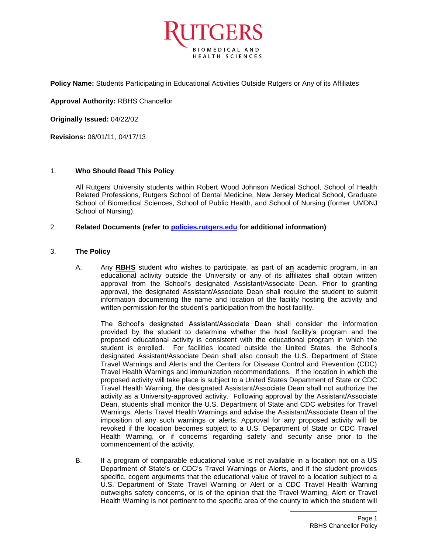

**Policy Name:** Students Participating in Educational Activities Outside Rutgers or Any of its Affiliates

**Approval Authority:** RBHS Chancellor

**Originally Issued:** 04/22/02

**Revisions:** 06/01/11, 04/17/13

# 1. **Who Should Read This Policy**

All Rutgers University students within Robert Wood Johnson Medical School, School of Health Related Professions, Rutgers School of Dental Medicine, New Jersey Medical School, Graduate School of Biomedical Sciences, School of Public Health, and School of Nursing (former UMDNJ School of Nursing).

# 2. **Related Documents (refer to [policies.rutgers.edu](file:///C:/Users/rsedlackpr001/Documents/Rutgers/Policies/RBHS%20Policies/policies.rutgers.edu) for additional information)**

# 3. **The Policy**

A. Any **RBHS** student who wishes to participate, as part of a**n** academic program, in an educational activity outside the University or any of its affiliates shall obtain written approval from the School's designated Assistant/Associate Dean. Prior to granting approval, the designated Assistant/Associate Dean shall require the student to submit information documenting the name and location of the facility hosting the activity and written permission for the student's participation from the host facility.

The School's designated Assistant/Associate Dean shall consider the information provided by the student to determine whether the host facility's program and the proposed educational activity is consistent with the educational program in which the student is enrolled. For facilities located outside the United States, the School's designated Assistant/Associate Dean shall also consult the U.S. Department of State Travel Warnings and Alerts and the Centers for Disease Control and Prevention (CDC) Travel Health Warnings and immunization recommendations. If the location in which the proposed activity will take place is subject to a United States Department of State or CDC Travel Health Warning, the designated Assistant/Associate Dean shall not authorize the activity as a University-approved activity. Following approval by the Assistant/Associate Dean, students shall monitor the U.S. Department of State and CDC websites for Travel Warnings, Alerts Travel Health Warnings and advise the Assistant/Associate Dean of the imposition of any such warnings or alerts. Approval for any proposed activity will be revoked if the location becomes subject to a U.S. Department of State or CDC Travel Health Warning, or if concerns regarding safety and security arise prior to the commencement of the activity.

B. If a program of comparable educational value is not available in a location not on a US Department of State's or CDC's Travel Warnings or Alerts, and if the student provides specific, cogent arguments that the educational value of travel to a location subject to a U.S. Department of State Travel Warning or Alert or a CDC Travel Health Warning outweighs safety concerns, or is of the opinion that the Travel Warning, Alert or Travel Health Warning is not pertinent to the specific area of the county to which the student will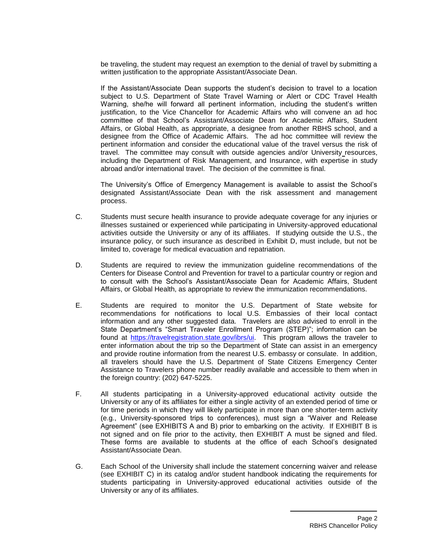be traveling, the student may request an exemption to the denial of travel by submitting a written justification to the appropriate Assistant/Associate Dean.

If the Assistant/Associate Dean supports the student's decision to travel to a location subject to U.S. Department of State Travel Warning or Alert or CDC Travel Health Warning, she/he will forward all pertinent information, including the student's written justification, to the Vice Chancellor for Academic Affairs who will convene an ad hoc committee of that School's Assistant/Associate Dean for Academic Affairs, Student Affairs, or Global Health, as appropriate, a designee from another RBHS school, and a designee from the Office of Academic Affairs. The ad hoc committee will review the pertinent information and consider the educational value of the travel versus the risk of travel. The committee may consult with outside agencies and/or University resources, including the Department of Risk Management, and Insurance, with expertise in study abroad and/or international travel. The decision of the committee is final.

The University's Office of Emergency Management is available to assist the School's designated Assistant/Associate Dean with the risk assessment and management process.

- C. Students must secure health insurance to provide adequate coverage for any injuries or illnesses sustained or experienced while participating in University-approved educational activities outside the University or any of its affiliates. If studying outside the U.S., the insurance policy, or such insurance as described in Exhibit D, must include, but not be limited to, coverage for medical evacuation and repatriation.
- D. Students are required to review the immunization guideline recommendations of the Centers for Disease Control and Prevention for travel to a particular country or region and to consult with the School's Assistant/Associate Dean for Academic Affairs, Student Affairs, or Global Health, as appropriate to review the immunization recommendations.
- E. Students are required to monitor the U.S. Department of State website for recommendations for notifications to local U.S. Embassies of their local contact information and any other suggested data. Travelers are also advised to enroll in the State Department's "Smart Traveler Enrollment Program (STEP)"; information can be found at [https://travelregistration.state.gov/ibrs/ui.](https://travelregistration.state.gov/ibrs/ui) This program allows the traveler to enter information about the trip so the Department of State can assist in an emergency and provide routine information from the nearest U.S. embassy or consulate. In addition, all travelers should have the U.S. Department of State Citizens Emergency Center Assistance to Travelers phone number readily available and accessible to them when in the foreign country: (202) 647-5225.
- F. All students participating in a University-approved educational activity outside the University or any of its affiliates for either a single activity of an extended period of time or for time periods in which they will likely participate in more than one shorter-term activity (e.g., University-sponsored trips to conferences), must sign a "Waiver and Release Agreement" (see EXHIBITS A and B) prior to embarking on the activity. If EXHIBIT B is not signed and on file prior to the activity, then EXHIBIT A must be signed and filed. These forms are available to students at the office of each School's designated Assistant/Associate Dean.
- G. Each School of the University shall include the statement concerning waiver and release (see EXHIBIT C) in its catalog and/or student handbook indicating the requirements for students participating in University-approved educational activities outside of the University or any of its affiliates.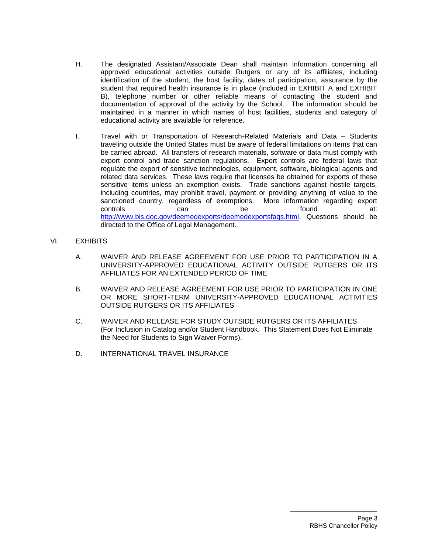- H. The designated Assistant/Associate Dean shall maintain information concerning all approved educational activities outside Rutgers or any of its affiliates, including identification of the student, the host facility, dates of participation, assurance by the student that required health insurance is in place (included in EXHIBIT A and EXHIBIT B), telephone number or other reliable means of contacting the student and documentation of approval of the activity by the School. The information should be maintained in a manner in which names of host facilities, students and category of educational activity are available for reference.
- I. Travel with or Transportation of Research-Related Materials and Data Students traveling outside the United States must be aware of federal limitations on items that can be carried abroad. All transfers of research materials, software or data must comply with export control and trade sanction regulations. Export controls are federal laws that regulate the export of sensitive technologies, equipment, software, biological agents and related data services. These laws require that licenses be obtained for exports of these sensitive items unless an exemption exists. Trade sanctions against hostile targets, including countries, may prohibit travel, payment or providing anything of value to the sanctioned country, regardless of exemptions. More information regarding export controls can be found at: [http://www.bis.doc.gov/deemedexports/deemedexportsfaqs.html.](http://www.bis.doc.gov/deemedexports/deemedexportsfaqs.html) Questions should be directed to the Office of Legal Management.
- VI. EXHIBITS
	- A. WAIVER AND RELEASE AGREEMENT FOR USE PRIOR TO PARTICIPATION IN A UNIVERSITY-APPROVED EDUCATIONAL ACTIVITY OUTSIDE RUTGERS OR ITS AFFILIATES FOR AN EXTENDED PERIOD OF TIME
	- B. WAIVER AND RELEASE AGREEMENT FOR USE PRIOR TO PARTICIPATION IN ONE OR MORE SHORT-TERM UNIVERSITY-APPROVED EDUCATIONAL ACTIVITIES OUTSIDE RUTGERS OR ITS AFFILIATES
	- C. WAIVER AND RELEASE FOR STUDY OUTSIDE RUTGERS OR ITS AFFILIATES (For Inclusion in Catalog and/or Student Handbook. This Statement Does Not Eliminate the Need for Students to Sign Waiver Forms).
	- D. INTERNATIONAL TRAVEL INSURANCE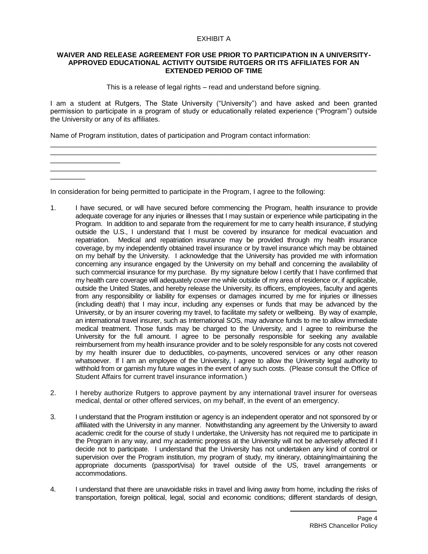# EXHIBIT A

#### **WAIVER AND RELEASE AGREEMENT FOR USE PRIOR TO PARTICIPATION IN A UNIVERSITY-APPROVED EDUCATIONAL ACTIVITY OUTSIDE RUTGERS OR ITS AFFILIATES FOR AN EXTENDED PERIOD OF TIME**

This is a release of legal rights – read and understand before signing.

I am a student at Rutgers, The State University ("University") and have asked and been granted permission to participate in a program of study or educationally related experience ("Program") outside the University or any of its affiliates.

\_\_\_\_\_\_\_\_\_\_\_\_\_\_\_\_\_\_\_\_\_\_\_\_\_\_\_\_\_\_\_\_\_\_\_\_\_\_\_\_\_\_\_\_\_\_\_\_\_\_\_\_\_\_\_\_\_\_\_\_\_\_\_\_\_\_\_\_\_\_\_\_\_\_\_\_\_\_\_\_\_\_\_\_ \_\_\_\_\_\_\_\_\_\_\_\_\_\_\_\_\_\_\_\_\_\_\_\_\_\_\_\_\_\_\_\_\_\_\_\_\_\_\_\_\_\_\_\_\_\_\_\_\_\_\_\_\_\_\_\_\_\_\_\_\_\_\_\_\_\_\_\_\_\_\_\_\_\_\_\_\_\_\_\_\_\_\_\_

\_\_\_\_\_\_\_\_\_\_\_\_\_\_\_\_\_\_\_\_\_\_\_\_\_\_\_\_\_\_\_\_\_\_\_\_\_\_\_\_\_\_\_\_\_\_\_\_\_\_\_\_\_\_\_\_\_\_\_\_\_\_\_\_\_\_\_\_\_\_\_\_\_\_\_\_\_\_\_\_\_\_\_\_

Name of Program institution, dates of participation and Program contact information:

\_\_\_\_\_\_\_\_\_\_\_\_\_\_\_\_\_\_

 $\overline{\phantom{a}}$ 

In consideration for being permitted to participate in the Program, I agree to the following:

- 1. I have secured, or will have secured before commencing the Program, health insurance to provide adequate coverage for any injuries or illnesses that I may sustain or experience while participating in the Program. In addition to and separate from the requirement for me to carry health insurance, if studying outside the U.S., I understand that I must be covered by insurance for medical evacuation and repatriation. Medical and repatriation insurance may be provided through my health insurance coverage, by my independently obtained travel insurance or by travel insurance which may be obtained on my behalf by the University. I acknowledge that the University has provided me with information concerning any insurance engaged by the University on my behalf and concerning the availability of such commercial insurance for my purchase. By my signature below I certify that I have confirmed that my health care coverage will adequately cover me while outside of my area of residence or, if applicable, outside the United States, and hereby release the University, its officers, employees, faculty and agents from any responsibility or liability for expenses or damages incurred by me for injuries or illnesses (including death) that I may incur, including any expenses or funds that may be advanced by the University, or by an insurer covering my travel, to facilitate my safety or wellbeing. By way of example, an international travel insurer, such as International SOS, may advance funds to me to allow immediate medical treatment. Those funds may be charged to the University, and I agree to reimburse the University for the full amount. I agree to be personally responsible for seeking any available reimbursement from my health insurance provider and to be solely responsible for any costs not covered by my health insurer due to deductibles, co-payments, uncovered services or any other reason whatsoever. If I am an employee of the University, I agree to allow the University legal authority to withhold from or garnish my future wages in the event of any such costs. (Please consult the Office of Student Affairs for current travel insurance information.)
- 2. I hereby authorize Rutgers to approve payment by any international travel insurer for overseas medical, dental or other offered services, on my behalf, in the event of an emergency.
- 3. I understand that the Program institution or agency is an independent operator and not sponsored by or affiliated with the University in any manner. Notwithstanding any agreement by the University to award academic credit for the course of study I undertake, the University has not required me to participate in the Program in any way, and my academic progress at the University will not be adversely affected if I decide not to participate. I understand that the University has not undertaken any kind of control or supervision over the Program institution, my program of study, my itinerary, obtaining/maintaining the appropriate documents (passport/visa) for travel outside of the US, travel arrangements or accommodations.
- 4. I understand that there are unavoidable risks in travel and living away from home, including the risks of transportation, foreign political, legal, social and economic conditions; different standards of design,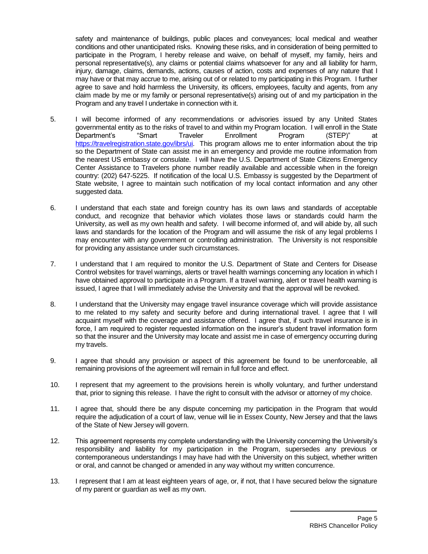safety and maintenance of buildings, public places and conveyances; local medical and weather conditions and other unanticipated risks. Knowing these risks, and in consideration of being permitted to participate in the Program, I hereby release and waive, on behalf of myself, my family, heirs and personal representative(s), any claims or potential claims whatsoever for any and all liability for harm, injury, damage, claims, demands, actions, causes of action, costs and expenses of any nature that I may have or that may accrue to me, arising out of or related to my participating in this Program. I further agree to save and hold harmless the University, its officers, employees, faculty and agents, from any claim made by me or my family or personal representative(s) arising out of and my participation in the Program and any travel I undertake in connection with it.

- 5. I will become informed of any recommendations or advisories issued by any United States governmental entity as to the risks of travel to and within my Program location. I will enroll in the State Department's "Smart Traveler Enrollment Program (STEP)" at [https://travelregistration.state.gov/ibrs/ui.](https://travelregistration.state.gov/ibrs/ui) This program allows me to enter information about the trip so the Department of State can assist me in an emergency and provide me routine information from the nearest US embassy or consulate. I will have the U.S. Department of State Citizens Emergency Center Assistance to Travelers phone number readily available and accessible when in the foreign country: (202) 647-5225. If notification of the local U.S. Embassy is suggested by the Department of State website, I agree to maintain such notification of my local contact information and any other suggested data.
- 6. I understand that each state and foreign country has its own laws and standards of acceptable conduct, and recognize that behavior which violates those laws or standards could harm the University, as well as my own health and safety. I will become informed of, and will abide by, all such laws and standards for the location of the Program and will assume the risk of any legal problems I may encounter with any government or controlling administration. The University is not responsible for providing any assistance under such circumstances.
- 7. I understand that I am required to monitor the U.S. Department of State and Centers for Disease Control websites for travel warnings, alerts or travel health warnings concerning any location in which I have obtained approval to participate in a Program. If a travel warning, alert or travel health warning is issued, I agree that I will immediately advise the University and that the approval will be revoked.
- 8. I understand that the University may engage travel insurance coverage which will provide assistance to me related to my safety and security before and during international travel. I agree that I will acquaint myself with the coverage and assistance offered. I agree that, if such travel insurance is in force, I am required to register requested information on the insurer's student travel information form so that the insurer and the University may locate and assist me in case of emergency occurring during my travels.
- 9. I agree that should any provision or aspect of this agreement be found to be unenforceable, all remaining provisions of the agreement will remain in full force and effect.
- 10. I represent that my agreement to the provisions herein is wholly voluntary, and further understand that, prior to signing this release. I have the right to consult with the advisor or attorney of my choice.
- 11. I agree that, should there be any dispute concerning my participation in the Program that would require the adjudication of a court of law, venue will lie in Essex County, New Jersey and that the laws of the State of New Jersey will govern.
- 12. This agreement represents my complete understanding with the University concerning the University's responsibility and liability for my participation in the Program, supersedes any previous or contemporaneous understandings I may have had with the University on this subject, whether written or oral, and cannot be changed or amended in any way without my written concurrence.
- 13. I represent that I am at least eighteen years of age, or, if not, that I have secured below the signature of my parent or guardian as well as my own.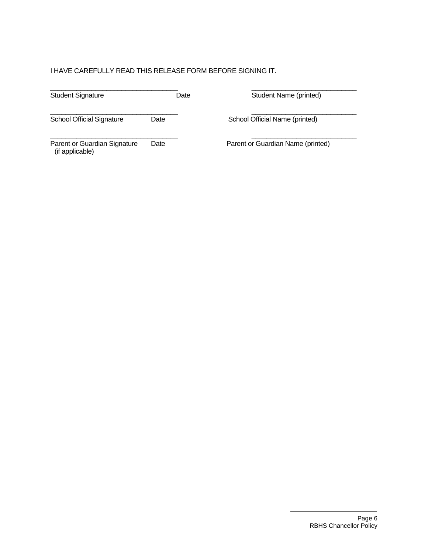# I HAVE CAREFULLY READ THIS RELEASE FORM BEFORE SIGNING IT.

| <b>Student Signature</b>                        | Date | Student Name (printed)            |
|-------------------------------------------------|------|-----------------------------------|
|                                                 |      |                                   |
| <b>School Official Signature</b>                | Date | School Official Name (printed)    |
|                                                 |      |                                   |
| Parent or Guardian Signature<br>(if applicable) | Date | Parent or Guardian Name (printed) |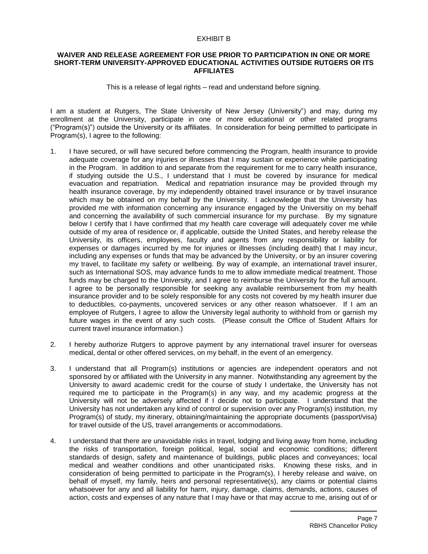#### EXHIBIT B

#### **WAIVER AND RELEASE AGREEMENT FOR USE PRIOR TO PARTICIPATION IN ONE OR MORE SHORT-TERM UNIVERSITY-APPROVED EDUCATIONAL ACTIVITIES OUTSIDE RUTGERS OR ITS AFFILIATES**

This is a release of legal rights – read and understand before signing.

I am a student at Rutgers, The State University of New Jersey (University") and may, during my enrollment at the University, participate in one or more educational or other related programs ("Program(s)") outside the University or its affiliates. In consideration for being permitted to participate in Program(s), I agree to the following:

- 1. I have secured, or will have secured before commencing the Program, health insurance to provide adequate coverage for any injuries or illnesses that I may sustain or experience while participating in the Program. In addition to and separate from the requirement for me to carry health insurance, if studying outside the U.S., I understand that I must be covered by insurance for medical evacuation and repatriation. Medical and repatriation insurance may be provided through my health insurance coverage, by my independently obtained travel insurance or by travel insurance which may be obtained on my behalf by the University. I acknowledge that the University has provided me with information concerning any insurance engaged by the Universitiy on my behalf and concerning the availability of such commercial insurance for my purchase. By my signature below I certify that I have confirmed that my health care coverage will adequately cover me while outside of my area of residence or, if applicable, outside the United States, and hereby release the University, its officers, employees, faculty and agents from any responsibility or liability for expenses or damages incurred by me for injuries or illnesses (including death) that I may incur, including any expenses or funds that may be advanced by the University, or by an insurer covering my travel, to facilitate my safety or wellbeing. By way of example, an international travel insurer, such as International SOS, may advance funds to me to allow immediate medical treatment. Those funds may be charged to the University, and I agree to reimburse the University for the full amount. I agree to be personally responsible for seeking any available reimbursement from my health insurance provider and to be solely responsible for any costs not covered by my health insurer due to deductibles, co-payments, uncovered services or any other reason whatsoever. If I am an employee of Rutgers, I agree to allow the University legal authority to withhold from or garnish my future wages in the event of any such costs. (Please consult the Office of Student Affairs for current travel insurance information.)
- 2. I hereby authorize Rutgers to approve payment by any international travel insurer for overseas medical, dental or other offered services, on my behalf, in the event of an emergency.
- 3. I understand that all Program(s) institutions or agencies are independent operators and not sponsored by or affiliated with the University in any manner. Notwithstanding any agreement by the University to award academic credit for the course of study I undertake, the University has not required me to participate in the Program(s) in any way, and my academic progress at the University will not be adversely affected if I decide not to participate. I understand that the University has not undertaken any kind of control or supervision over any Program(s) institution, my Program(s) of study, my itinerary, obtaining/maintaining the appropriate documents (passport/visa) for travel outside of the US, travel arrangements or accommodations.
- 4. I understand that there are unavoidable risks in travel, lodging and living away from home, including the risks of transportation, foreign political, legal, social and economic conditions; different standards of design, safety and maintenance of buildings, public places and conveyances; local medical and weather conditions and other unanticipated risks. Knowing these risks, and in consideration of being permitted to participate in the Program(s), I hereby release and waive, on behalf of myself, my family, heirs and personal representative(s), any claims or potential claims whatsoever for any and all liability for harm, injury, damage, claims, demands, actions, causes of action, costs and expenses of any nature that I may have or that may accrue to me, arising out of or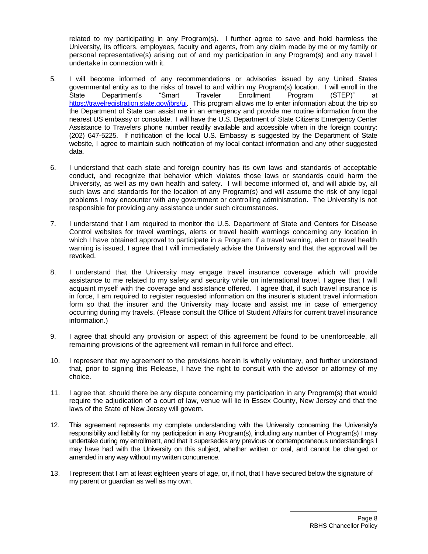related to my participating in any Program(s). I further agree to save and hold harmless the University, its officers, employees, faculty and agents, from any claim made by me or my family or personal representative(s) arising out of and my participation in any Program(s) and any travel I undertake in connection with it.

- 5. I will become informed of any recommendations or advisories issued by any United States governmental entity as to the risks of travel to and within my Program(s) location. I will enroll in the State Department's "Smart Traveler Enrollment Program (STEP)" at [https://travelregistration.state.gov/ibrs/ui.](https://travelregistration.state.gov/ibrs/ui) This program allows me to enter information about the trip so the Department of State can assist me in an emergency and provide me routine information from the nearest US embassy or consulate. I will have the U.S. Department of State Citizens Emergency Center Assistance to Travelers phone number readily available and accessible when in the foreign country: (202) 647-5225. If notification of the local U.S. Embassy is suggested by the Department of State website, I agree to maintain such notification of my local contact information and any other suggested data.
- 6. I understand that each state and foreign country has its own laws and standards of acceptable conduct, and recognize that behavior which violates those laws or standards could harm the University, as well as my own health and safety. I will become informed of, and will abide by, all such laws and standards for the location of any Program(s) and will assume the risk of any legal problems I may encounter with any government or controlling administration. The University is not responsible for providing any assistance under such circumstances.
- 7. I understand that I am required to monitor the U.S. Department of State and Centers for Disease Control websites for travel warnings, alerts or travel health warnings concerning any location in which I have obtained approval to participate in a Program. If a travel warning, alert or travel health warning is issued, I agree that I will immediately advise the University and that the approval will be revoked.
- 8. I understand that the University may engage travel insurance coverage which will provide assistance to me related to my safety and security while on international travel. I agree that I will acquaint myself with the coverage and assistance offered. I agree that, if such travel insurance is in force, I am required to register requested information on the insurer's student travel information form so that the insurer and the University may locate and assist me in case of emergency occurring during my travels. (Please consult the Office of Student Affairs for current travel insurance information.)
- 9. I agree that should any provision or aspect of this agreement be found to be unenforceable, all remaining provisions of the agreement will remain in full force and effect.
- 10. I represent that my agreement to the provisions herein is wholly voluntary, and further understand that, prior to signing this Release, I have the right to consult with the advisor or attorney of my choice.
- 11. I agree that, should there be any dispute concerning my participation in any Program(s) that would require the adjudication of a court of law, venue will lie in Essex County, New Jersey and that the laws of the State of New Jersey will govern.
- 12. This agreement represents my complete understanding with the University concerning the University's responsibility and liability for my participation in any Program(s), including any number of Program(s) I may undertake during my enrollment, and that it supersedes any previous or contemporaneous understandings I may have had with the University on this subject, whether written or oral, and cannot be changed or amended in any way without my written concurrence.
- 13. I represent that I am at least eighteen years of age, or, if not, that I have secured below the signature of my parent or guardian as well as my own.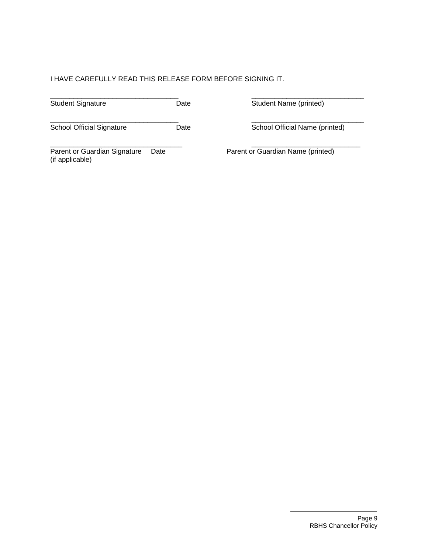# I HAVE CAREFULLY READ THIS RELEASE FORM BEFORE SIGNING IT.

| <b>Student Signature</b> | )ate | Student Name (printed) |
|--------------------------|------|------------------------|

\_\_\_\_\_\_\_\_\_\_\_\_\_\_\_\_\_\_\_\_\_\_\_\_\_\_\_\_\_\_\_\_\_ \_\_\_\_\_\_\_\_\_\_\_\_\_\_\_\_\_\_\_\_\_\_\_\_\_\_\_\_\_ School Official Signature Date Date School Official Name (printed)

Parent or Guardian Signature Date Parent or Guardian Name (printed) (if applicable)

\_\_\_\_\_\_\_\_\_\_\_\_\_\_\_\_\_\_\_\_\_\_\_\_\_\_\_\_\_\_\_\_\_\_ \_\_\_\_\_\_\_\_\_\_\_\_\_\_\_\_\_\_\_\_\_\_\_\_\_\_\_\_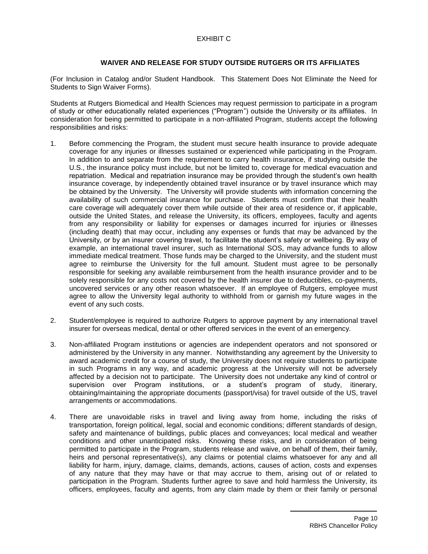# **WAIVER AND RELEASE FOR STUDY OUTSIDE RUTGERS OR ITS AFFILIATES**

(For Inclusion in Catalog and/or Student Handbook. This Statement Does Not Eliminate the Need for Students to Sign Waiver Forms).

Students at Rutgers Biomedical and Health Sciences may request permission to participate in a program of study or other educationally related experiences ("Program") outside the University or its affiliates. In consideration for being permitted to participate in a non-affiliated Program, students accept the following responsibilities and risks:

- 1. Before commencing the Program, the student must secure health insurance to provide adequate coverage for any injuries or illnesses sustained or experienced while participating in the Program. In addition to and separate from the requirement to carry health insurance, if studying outside the U.S., the insurance policy must include, but not be limited to, coverage for medical evacuation and repatriation. Medical and repatriation insurance may be provided through the student's own health insurance coverage, by independently obtained travel insurance or by travel insurance which may be obtained by the University. The University will provide students with information concerning the availability of such commercial insurance for purchase. Students must confirm that their health care coverage will adequately cover them while outside of their area of residence or, if applicable, outside the United States, and release the University, its officers, employees, faculty and agents from any responsibility or liability for expenses or damages incurred for injuries or illnesses (including death) that may occur, including any expenses or funds that may be advanced by the University, or by an insurer covering travel, to facilitate the student's safety or wellbeing. By way of example, an international travel insurer, such as International SOS, may advance funds to allow immediate medical treatment. Those funds may be charged to the University, and the student must agree to reimburse the University for the full amount. Student must agree to be personally responsible for seeking any available reimbursement from the health insurance provider and to be solely responsible for any costs not covered by the health insurer due to deductibles, co-payments, uncovered services or any other reason whatsoever. If an employee of Rutgers, employee must agree to allow the University legal authority to withhold from or garnish my future wages in the event of any such costs.
- 2. Student/employee is required to authorize Rutgers to approve payment by any international travel insurer for overseas medical, dental or other offered services in the event of an emergency.
- 3. Non-affiliated Program institutions or agencies are independent operators and not sponsored or administered by the University in any manner. Notwithstanding any agreement by the University to award academic credit for a course of study, the University does not require students to participate in such Programs in any way, and academic progress at the University will not be adversely affected by a decision not to participate. The University does not undertake any kind of control or supervision over Program institutions, or a student's program of study, itinerary, obtaining/maintaining the appropriate documents (passport/visa) for travel outside of the US, travel arrangements or accommodations.
- 4. There are unavoidable risks in travel and living away from home, including the risks of transportation, foreign political, legal, social and economic conditions; different standards of design, safety and maintenance of buildings, public places and conveyances; local medical and weather conditions and other unanticipated risks. Knowing these risks, and in consideration of being permitted to participate in the Program, students release and waive, on behalf of them, their family, heirs and personal representative(s), any claims or potential claims whatsoever for any and all liability for harm, injury, damage, claims, demands, actions, causes of action, costs and expenses of any nature that they may have or that may accrue to them, arising out of or related to participation in the Program. Students further agree to save and hold harmless the University, its officers, employees, faculty and agents, from any claim made by them or their family or personal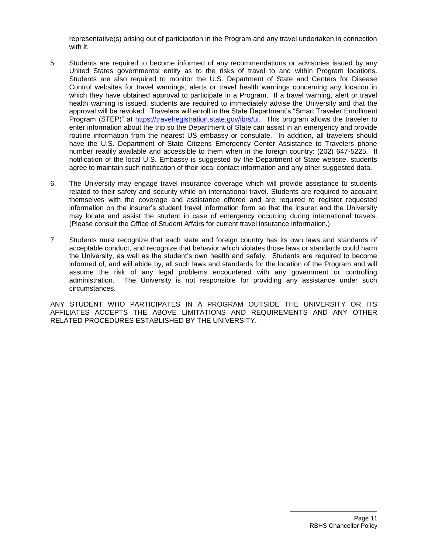representative(s) arising out of participation in the Program and any travel undertaken in connection with it.

- 5. Students are required to become informed of any recommendations or advisories issued by any United States governmental entity as to the risks of travel to and within Program locations. Students are also required to monitor the U.S. Department of State and Centers for Disease Control websites for travel warnings, alerts or travel health warnings concerning any location in which they have obtained approval to participate in a Program. If a travel warning, alert or travel health warning is issued, students are required to immediately advise the University and that the approval will be revoked. Travelers will enroll in the State Department's "Smart Traveler Enrollment Program (STEP)" at [https://travelregistration.state.gov/ibrs/ui.](https://travelregistration.state.gov/ibrs/ui) This program allows the traveler to enter information about the trip so the Department of State can assist in an emergency and provide routine information from the nearest US embassy or consulate. In addition, all travelers should have the U.S. Department of State Citizens Emergency Center Assistance to Travelers phone number readily available and accessible to them when in the foreign country: (202) 647-5225. If notification of the local U.S. Embassy is suggested by the Department of State website, students agree to maintain such notification of their local contact information and any other suggested data.
- 6. The University may engage travel insurance coverage which will provide assistance to students related to their safety and security while on international travel. Students are required to acquaint themselves with the coverage and assistance offered and are required to register requested information on the insurer's student travel information form so that the insurer and the University may locate and assist the student in case of emergency occurring during international travels. (Please consult the Office of Student Affairs for current travel insurance information.)
- 7. Students must recognize that each state and foreign country has its own laws and standards of acceptable conduct, and recognize that behavior which violates those laws or standards could harm the University, as well as the student's own health and safety. Students are required to become informed of, and will abide by, all such laws and standards for the location of the Program and will assume the risk of any legal problems encountered with any government or controlling administration. The University is not responsible for providing any assistance under such circumstances.

ANY STUDENT WHO PARTICIPATES IN A PROGRAM OUTSIDE THE UNIVERSITY OR ITS AFFILIATES ACCEPTS THE ABOVE LIMITATIONS AND REQUIREMENTS AND ANY OTHER RELATED PROCEDURES ESTABLISHED BY THE UNIVERSITY.